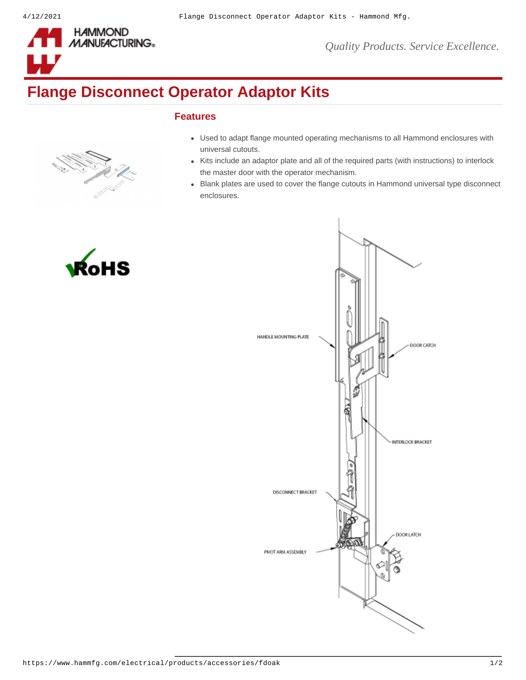

*Quality Products. Service Excellence.*

## **Flange Disconnect Operator Adaptor Kits**

## **Features**



HS

- Used to adapt flange mounted operating mechanisms to all Hammond enclosures with universal cutouts.
- Kits include an adaptor plate and all of the required parts (with instructions) to interlock the master door with the operator mechanism.
- Blank plates are used to cover the flange cutouts in Hammond universal type disconnect enclosures.